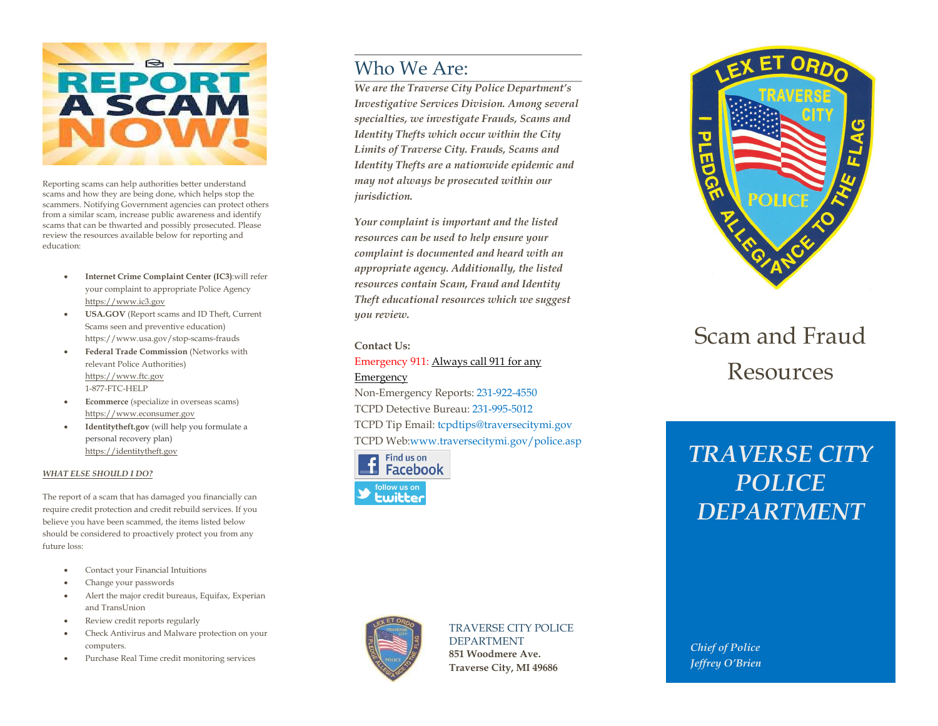

Reporting scams can help authorities better understand scams and how they are being done, which helps stop the scammers. Notifying Government agencies can protect others from a similar scam, increase public awareness and identify scams that can be thwarted and possibly prosecuted. Please review the resources available below for reporting and education:

- Internet Crime Complaint Center (IC3):will refer your complaint to appropriate Police Agency https://www.ic3.gov
- USA.GOV (Report scams and ID Theft, Current Scams seen and preventive education) https://www.usa.gov/stop-scams-frauds
- Federal Trade Commission (Networks with relevant Police Authorities) https://www.ftc.gov 1-877-FTC-HELP
- Ecommerce (specialize in overseas scams) https://www.econsumer.gov
- Identitytheft.gov (will help you formulate a personal recovery plan) https://identitytheft.gov

#### WHAT ELSE SHOULD I DO?

The report of a scam that has damaged you financially can require credit protection and credit rebuild services. If you believe you have been scammed, the items listed below should be considered to proactively protect you from any future loss:

- Contact your Financial Intuitions
- Change your passwords
- Alert the major credit bureaus, Equifax, Experian and TransUnion
- Review credit reports regularly
- Check Antivirus and Malware protection on your computers.
- Purchase Real Time credit monitoring services

# Who We Are:

We are the Traverse City Police Department's Investigative Services Division. Among several specialties, we investigate Frauds, Scams and Identity Thefts which occur within the City Limits of Traverse City. Frauds, Scams and Identity Thefts are a nationwide epidemic and may not always be prosecuted within our jurisdiction.

Your complaint is important and the listed resources can be used to help ensure your complaint is documented and heard with an appropriate agency. Additionally, the listed resources contain Scam, Fraud and Identity Theft educational resources which we suggest you review.

#### Contact Us:

Emergency 911: Always call 911 for any Emergency Non-Emergency Reports: 231-922-4550 TCPD Detective Bureau: 231-995-5012

TCPD Tip Email: tcpdtips@traversecitymi.gov TCPD Web:www.traversecitymi.gov/police.asp





### TRAVERSE CITY POLICE DEPARTMENT

851 Woodmere Ave. Traverse City, MI 49686



# Scam and Fraud Resources

# TRAVERSE CITY POLICE DEPARTMENT

 Chief of Police Jeffrey O'Brien